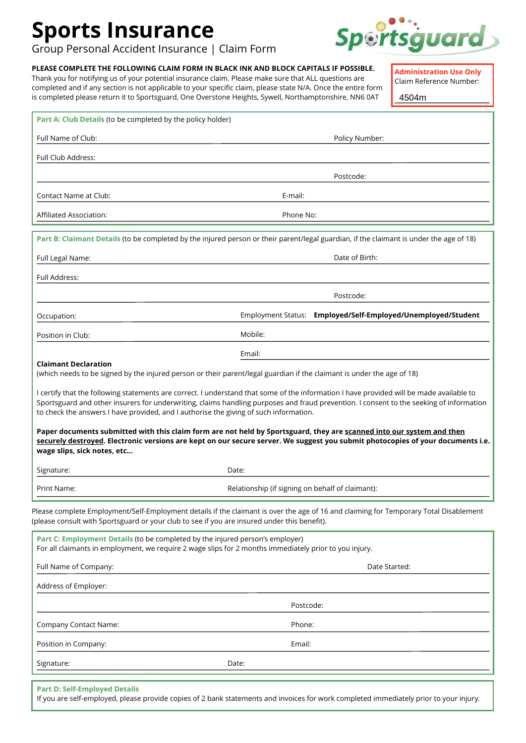# **Sports Insurance**

Group Personal Accident Insurance | Claim Form

## **PLEASE COMPLETE THE FOLLOWING CLAIM FORM IN BLACK INK AND BLOCK CAPITALS IF POSSIBLE.**

Thank you for notifying us of your potential insurance claim. Please make sure that ALL questions are completed and if any section is not applicable to your specific claim, please state N/A. Once the entire form is completed please return it to Sportsguard, One Overstone Heights, Sywell, Northamptonshire, NN6 0AT

**Administration Use Only**

Claim Reference Number:

4504m

| Part A: Club Details (to be completed by the policy holder)                                                                                                                                                                                                                                                                                                                  |                                                                                                                                         |  |  |
|------------------------------------------------------------------------------------------------------------------------------------------------------------------------------------------------------------------------------------------------------------------------------------------------------------------------------------------------------------------------------|-----------------------------------------------------------------------------------------------------------------------------------------|--|--|
| Full Name of Club:                                                                                                                                                                                                                                                                                                                                                           | Policy Number:                                                                                                                          |  |  |
| Full Club Address:                                                                                                                                                                                                                                                                                                                                                           |                                                                                                                                         |  |  |
|                                                                                                                                                                                                                                                                                                                                                                              | Postcode:                                                                                                                               |  |  |
| Contact Name at Club:                                                                                                                                                                                                                                                                                                                                                        | E-mail:                                                                                                                                 |  |  |
| Affiliated Association:                                                                                                                                                                                                                                                                                                                                                      | Phone No:                                                                                                                               |  |  |
|                                                                                                                                                                                                                                                                                                                                                                              | Part B: Claimant Details (to be completed by the injured person or their parent/legal guardian, if the claimant is under the age of 18) |  |  |
| Full Legal Name:                                                                                                                                                                                                                                                                                                                                                             | Date of Birth:                                                                                                                          |  |  |
| Full Address:                                                                                                                                                                                                                                                                                                                                                                |                                                                                                                                         |  |  |
|                                                                                                                                                                                                                                                                                                                                                                              | Postcode:                                                                                                                               |  |  |
| Occupation:                                                                                                                                                                                                                                                                                                                                                                  | Employed/Self-Employed/Unemployed/Student<br>Employment Status:                                                                         |  |  |
| Position in Club:                                                                                                                                                                                                                                                                                                                                                            | Mobile:                                                                                                                                 |  |  |
|                                                                                                                                                                                                                                                                                                                                                                              | Email:                                                                                                                                  |  |  |
| <b>Claimant Declaration</b>                                                                                                                                                                                                                                                                                                                                                  | (which needs to be signed by the injured person or their parent/legal guardian if the claimant is under the age of 18)                  |  |  |
| I certify that the following statements are correct. I understand that some of the information I have provided will be made available to<br>Sportsguard and other insurers for underwriting, claims handling purposes and fraud prevention. I consent to the seeking of information<br>to check the answers I have provided, and I authorise the giving of such information. |                                                                                                                                         |  |  |
| Paper documents submitted with this claim form are not held by Sportsguard, they are scanned into our system and then<br>securely destroyed. Electronic versions are kept on our secure server. We suggest you submit photocopies of your documents i.e.<br>wage slips, sick notes, etc                                                                                      |                                                                                                                                         |  |  |
| Signature:                                                                                                                                                                                                                                                                                                                                                                   | Date:                                                                                                                                   |  |  |
| Print Name:                                                                                                                                                                                                                                                                                                                                                                  | Relationship (if signing on behalf of claimant):                                                                                        |  |  |
| Please complete Employment/Self-Employment details if the claimant is over the age of 16 and claiming for Temporary Total Disablement<br>(please consult with Sportsguard or your club to see if you are insured under this benefit).                                                                                                                                        |                                                                                                                                         |  |  |
| Part C: Employment Details (to be completed by the injured person's employer)<br>For all claimants in employment, we require 2 wage slips for 2 months immediately prior to you injury.                                                                                                                                                                                      |                                                                                                                                         |  |  |
| Full Name of Company:                                                                                                                                                                                                                                                                                                                                                        | Date Started:                                                                                                                           |  |  |
| Address of Employer:                                                                                                                                                                                                                                                                                                                                                         |                                                                                                                                         |  |  |
|                                                                                                                                                                                                                                                                                                                                                                              | Postcode:                                                                                                                               |  |  |
| <b>Company Contact Name:</b>                                                                                                                                                                                                                                                                                                                                                 | Phone:                                                                                                                                  |  |  |
| Position in Company:                                                                                                                                                                                                                                                                                                                                                         | Email:                                                                                                                                  |  |  |
| Signature:                                                                                                                                                                                                                                                                                                                                                                   | Date:                                                                                                                                   |  |  |
| <b>Part D: Self-Employed Details</b>                                                                                                                                                                                                                                                                                                                                         |                                                                                                                                         |  |  |

If you are self-employed, please provide copies of 2 bank statements and invoices for work completed immediately prior to your injury.

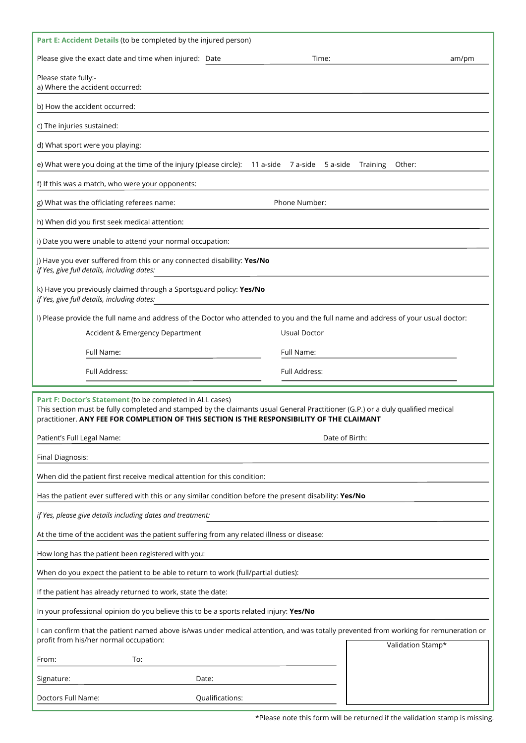| Part E: Accident Details (to be completed by the injured person)                                                                                                                                                                                                                           |  |  |  |  |
|--------------------------------------------------------------------------------------------------------------------------------------------------------------------------------------------------------------------------------------------------------------------------------------------|--|--|--|--|
| Please give the exact date and time when injured: Date<br>Time:<br>am/pm                                                                                                                                                                                                                   |  |  |  |  |
| Please state fully:-<br>a) Where the accident occurred:                                                                                                                                                                                                                                    |  |  |  |  |
| b) How the accident occurred:                                                                                                                                                                                                                                                              |  |  |  |  |
| c) The injuries sustained:                                                                                                                                                                                                                                                                 |  |  |  |  |
| d) What sport were you playing:                                                                                                                                                                                                                                                            |  |  |  |  |
| e) What were you doing at the time of the injury (please circle): 11 a-side 7 a-side 5 a-side<br>Training<br>Other:                                                                                                                                                                        |  |  |  |  |
| f) If this was a match, who were your opponents:                                                                                                                                                                                                                                           |  |  |  |  |
| Phone Number:<br>g) What was the officiating referees name:                                                                                                                                                                                                                                |  |  |  |  |
| h) When did you first seek medical attention:                                                                                                                                                                                                                                              |  |  |  |  |
| i) Date you were unable to attend your normal occupation:                                                                                                                                                                                                                                  |  |  |  |  |
| j) Have you ever suffered from this or any connected disability: Yes/No<br>if Yes, give full details, including dates:                                                                                                                                                                     |  |  |  |  |
| k) Have you previously claimed through a Sportsguard policy: Yes/No<br>if Yes, give full details, including dates:                                                                                                                                                                         |  |  |  |  |
| I) Please provide the full name and address of the Doctor who attended to you and the full name and address of your usual doctor:                                                                                                                                                          |  |  |  |  |
| Accident & Emergency Department<br>Usual Doctor                                                                                                                                                                                                                                            |  |  |  |  |
| Full Name:<br>Full Name:                                                                                                                                                                                                                                                                   |  |  |  |  |
| Full Address:<br>Full Address:                                                                                                                                                                                                                                                             |  |  |  |  |
| Part F: Doctor's Statement (to be completed in ALL cases)<br>This section must be fully completed and stamped by the claimants usual General Practitioner (G.P.) or a duly qualified medical<br>practitioner. ANY FEE FOR COMPLETION OF THIS SECTION IS THE RESPONSIBILITY OF THE CLAIMANT |  |  |  |  |
| Patient's Full Legal Name:<br>Date of Birth:                                                                                                                                                                                                                                               |  |  |  |  |
| Final Diagnosis:                                                                                                                                                                                                                                                                           |  |  |  |  |
| When did the patient first receive medical attention for this condition:                                                                                                                                                                                                                   |  |  |  |  |
| Has the patient ever suffered with this or any similar condition before the present disability: Yes/No                                                                                                                                                                                     |  |  |  |  |
| if Yes, please give details including dates and treatment:                                                                                                                                                                                                                                 |  |  |  |  |
| At the time of the accident was the patient suffering from any related illness or disease:                                                                                                                                                                                                 |  |  |  |  |
| How long has the patient been registered with you:                                                                                                                                                                                                                                         |  |  |  |  |
| When do you expect the patient to be able to return to work (full/partial duties):                                                                                                                                                                                                         |  |  |  |  |
| If the patient has already returned to work, state the date:                                                                                                                                                                                                                               |  |  |  |  |
| In your professional opinion do you believe this to be a sports related injury: Yes/No                                                                                                                                                                                                     |  |  |  |  |
| I can confirm that the patient named above is/was under medical attention, and was totally prevented from working for remuneration or<br>profit from his/her normal occupation:<br>Validation Stamp*                                                                                       |  |  |  |  |
| To:<br>From:                                                                                                                                                                                                                                                                               |  |  |  |  |
| Signature:<br>Date:                                                                                                                                                                                                                                                                        |  |  |  |  |
| Doctors Full Name:<br>Qualifications:                                                                                                                                                                                                                                                      |  |  |  |  |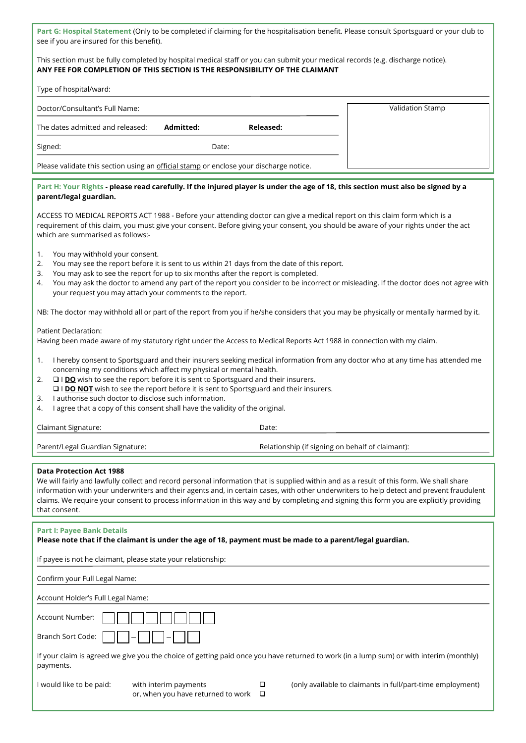**Part G: Hospital Statement** (Only to be completed if claiming for the hospitalisation benefit. Please consult Sportsguard or your club to see if you are insured for this benefit).

### This section must be fully completed by hospital medical staff or you can submit your medical records (e.g. discharge notice). **ANY FEE FOR COMPLETION OF THIS SECTION IS THE RESPONSIBILITY OF THE CLAIMANT**

| Type of hospital/ward:                                                                 |           |           |                  |
|----------------------------------------------------------------------------------------|-----------|-----------|------------------|
| Doctor/Consultant's Full Name:                                                         |           |           | Validation Stamp |
| The dates admitted and released:                                                       | Admitted: | Released: |                  |
| Signed:                                                                                | Date:     |           |                  |
| Please validate this section using an official stamp or enclose your discharge notice. |           |           |                  |

#### **Part H: Your Rights - please read carefully. If the injured player is under the age of 18, this section must also be signed by a parent/legal guardian.**

ACCESS TO MEDICAL REPORTS ACT 1988 - Before your attending doctor can give a medical report on this claim form which is a requirement of this claim, you must give your consent. Before giving your consent, you should be aware of your rights under the act which are summarised as follows:-

- 1. You may withhold your consent.
- 2. You may see the report before it is sent to us within 21 days from the date of this report.
- 3. You may ask to see the report for up to six months after the report is completed.
- 4. You may ask the doctor to amend any part of the report you consider to be incorrect or misleading. If the doctor does not agree with your request you may attach your comments to the report.

NB: The doctor may withhold all or part of the report from you if he/she considers that you may be physically or mentally harmed by it.

Patient Declaration:

Having been made aware of my statutory right under the Access to Medical Reports Act 1988 in connection with my claim.

- 1. I hereby consent to Sportsguard and their insurers seeking medical information from any doctor who at any time has attended me concerning my conditions which affect my physical or mental health.
- 2. � I **DO** wish to see the report before it is sent to Sportsguard and their insurers.
- □ I **DO NOT** wish to see the report before it is sent to Sportsguard and their insurers.
- 3. I authorise such doctor to disclose such information.
- 4. I agree that a copy of this consent shall have the validity of the original.

| <b>Claimant Signature:</b> | Date: |
|----------------------------|-------|
|----------------------------|-------|

Parent/Legal Guardian Signature: The Relationship (if signing on behalf of claimant):

#### **Data Protection Act 1988**

We will fairly and lawfully collect and record personal information that is supplied within and as a result of this form. We shall share information with your underwriters and their agents and, in certain cases, with other underwriters to help detect and prevent fraudulent claims. We require your consent to process information in this way and by completing and signing this form you are explicitly providing that consent.

## **Part I: Payee Bank Details**

**Please note that if the claimant is under the age of 18, payment must be made to a parent/legal guardian.**

If payee is not he claimant, please state your relationship:

Confirm your Full Legal Name:

Account Holder's Full Legal Name:

| Account Number: |
|-----------------|
|                 |

|           | If your claim is agreed we give you the choice of getting paid once you have returned to work (in a lump sum) or with interim (monthly) |
|-----------|-----------------------------------------------------------------------------------------------------------------------------------------|
| payments. |                                                                                                                                         |

or, when you have returned to work  $\Box$ 

I would like to be paid: with interim payments  $\Box$  (only available to claimants in full/part-time employment)